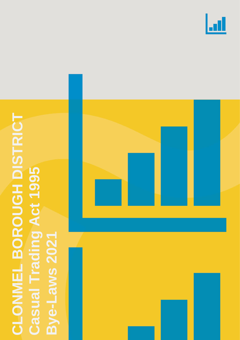# CLONMEL BOROUGH DISTRICT **CLONMEL BOROUGH DISTRICT Casual Trading Act 1995 Casual Trading Act 1995 -Laws 2021Bye**



<u>lad</u>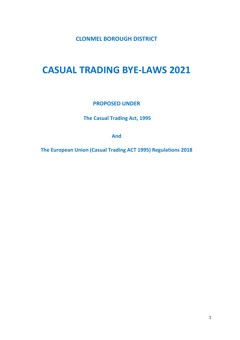**CLONMEL BOROUGH DISTRICT**

# **CASUAL TRADING BYE-LAWS 2021**

**PROPOSED UNDER**

**The Casual Trading Act, 1995**

**And**

**The European Union (Casual Trading ACT 1995) Regulations 2018**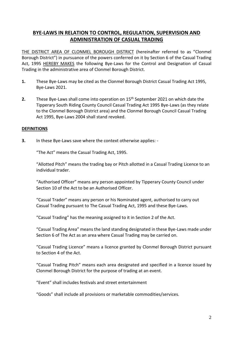# **BYE-LAWS IN RELATION TO CONTROL, REGULATION, SUPERVISION AND ADMINISTRATION OF CASUAL TRADING**

THE DISTRICT AREA OF CLONMEL BOROUGH DISTRICT (hereinafter referred to as "Clonmel Borough District") in pursuance of the powers conferred on it by Section 6 of the Casual Trading Act, 1995 HEREBY MAKES the following Bye-Laws for the Control and Designation of Casual Trading in the administrative area of Clonmel Borough District.

- **1.** These Bye-Laws may be cited as the Clonmel Borough District Casual Trading Act 1995, Bye-Laws 2021.
- **2.** These Bye-Laws shall come into operation on 15<sup>th</sup> September 2021 on which date the Tipperary South Riding County Council Casual Trading Act 1995 Bye-Laws (as they relate to the Clonmel Borough District area) and the Clonmel Borough Council Casual Trading Act 1995, Bye-Laws 2004 shall stand revoked.

#### **DEFINITIONS**

**3.** In these Bye-Laws save where the context otherwise applies: -

"The Act" means the Casual Trading Act, 1995.

"Allotted Pitch" means the trading bay or Pitch allotted in a Casual Trading Licence to an individual trader.

"Authorised Officer" means any person appointed by Tipperary County Council under Section 10 of the Act to be an Authorised Officer.

"Casual Trader" means any person or his Nominated agent, authorised to carry out Casual Trading pursuant to The Casual Trading Act, 1995 and these Bye-Laws.

"Casual Trading" has the meaning assigned to it in Section 2 of the Act.

"Casual Trading Area" means the land standing designated in these Bye-Laws made under Section 6 of The Act as an area where Casual Trading may be carried on.

"Casual Trading Licence" means a licence granted by Clonmel Borough District pursuant to Section 4 of the Act.

"Casual Trading Pitch" means each area designated and specified in a licence issued by Clonmel Borough District for the purpose of trading at an event.

"Event" shall includes festivals and street entertainment

"Goods" shall include all provisions or marketable commodities/services.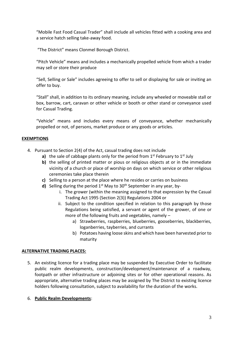"Mobile Fast Food Casual Trader" shall include all vehicles fitted with a cooking area and a service hatch selling take-away food.

"The District" means Clonmel Borough District.

"Pitch Vehicle" means and includes a mechanically propelled vehicle from which a trader may sell or store their produce

"Sell, Selling or Sale" includes agreeing to offer to sell or displaying for sale or inviting an offer to buy.

"Stall" shall, in addition to its ordinary meaning, include any wheeled or moveable stall or box, barrow, cart, caravan or other vehicle or booth or other stand or conveyance used for Casual Trading.

"Vehicle" means and includes every means of conveyance, whether mechanically propelled or not, of persons, market produce or any goods or articles.

#### **EXEMPTIONS**

- 4. Pursuant to Section 2(4) of the Act, casual trading does not include
	- a) the sale of cabbage plants only for the period from 1<sup>st</sup> February to 1<sup>st</sup> July
	- **b)** the selling of printed matter or pious or religious objects at or in the immediate vicinity of a church or place of worship on days on which service or other religious ceremonies take place therein
	- **c)** Selling to a person at the place where he resides or carries on business
	- **d)** Selling during the period  $1<sup>st</sup>$  May to  $30<sup>th</sup>$  September in any year, by
		- i. The grower (within the meaning assigned to that expression by the Casual Trading Act 1995 (Section 2(3)) Regulations 2004 or
		- ii. Subject to the condition specified in relation to this paragraph by those Regulations being satisfied, a servant or agent of the grower, of one or more of the following fruits and vegetables, namely –
			- a) Strawberries, raspberries, blueberries, gooseberries, blackberries, loganberries, tayberries, and currants
			- b) Potatoes having loose skins and which have been harvested prior to maturity

#### **ALTERNATIVE TRADING PLACES:**

5. An existing licence for a trading place may be suspended by Executive Order to facilitate public realm developments, construction/development/maintenance of a roadway, footpath or other infrastructure or adjoining sites or for other operational reasons. As appropriate, alternative trading places may be assigned by The District to existing licence holders following consultation, subject to availability for the duration of the works.

#### 6. **Public Realm Developments**: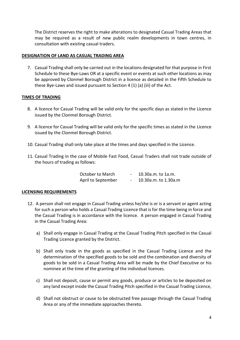The District reserves the right to make alterations to designated Casual Trading Areas that may be required as a result of new public realm developments in town centres, in consultation with existing casual traders.

#### **DESIGNATION OF LAND AS CASUAL TRADING AREA**

7. Casual Trading shall only be carried out in the locations designated for that purpose in First Schedule to these Bye-Laws OR at a specific event or events at such other locations as may be approved by Clonmel Borough District in a licence as detailed in the Fifth Schedule to these Bye-Laws and issued pursuant to Section 4 (1) (a) (iii) of the Act.

#### **TIMES OF TRADING**

- 8. A licence for Casual Trading will be valid only for the specific days as stated in the Licence issued by the Clonmel Borough District.
- 9. A licence for Casual Trading will be valid only for the specific times as stated in the Licence issued by the Clonmel Borough District.
- 10. Casual Trading shall only take place at the times and days specified in the Licence.
- 11. Casual Trading in the case of Mobile Fast Food, Casual Traders shall not trade outside of the hours of trading as follows:

| October to March   | $\sim$ | 10.30a.m. to 1a.m.   |
|--------------------|--------|----------------------|
| April to September | $\sim$ | 10.30a.m. to 1.30a.m |

#### **LICENSING REQUIREMENTS**

- 12. A person shall not engage in Casual Trading unless he/she is or is a servant or agent acting for such a person who holds a Casual Trading Licence that is for the time being in force and the Casual Trading is in accordance with the licence. A person engaged in Casual Trading in the Casual Trading Area:
	- a) Shall only engage in Casual Trading at the Casual Trading Pitch specified in the Casual Trading Licence granted by the District.
	- b) Shall only trade in the goods as specified in the Casual Trading Licence and the determination of the specified goods to be sold and the combination and diversity of goods to be sold in a Casual Trading Area will be made by the Chief Executive or his nominee at the time of the granting of the individual licences.
	- c) Shall not deposit, cause or permit any goods, produce or articles to be deposited on any land except inside the Casual Trading Pitch specified in the Casual Trading Licence,
	- d) Shall not obstruct or cause to be obstructed free passage through the Casual Trading Area or any of the immediate approaches thereto.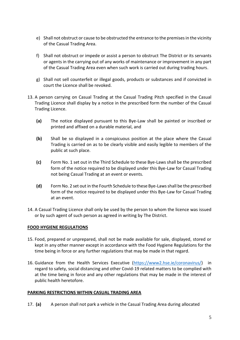- e) Shall not obstruct or cause to be obstructed the entrance to the premises in the vicinity of the Casual Trading Area.
- f) Shall not obstruct or impede or assist a person to obstruct The District or its servants or agents in the carrying out of any works of maintenance or improvement in any part of the Casual Trading Area even when such work is carried out during trading hours.
- g) Shall not sell counterfeit or illegal goods, products or substances and if convicted in court the Licence shall be revoked.
- 13. A person carrying on Casual Trading at the Casual Trading Pitch specified in the Casual Trading Licence shall display by a notice in the prescribed form the number of the Casual Trading Licence.
	- **(a)** The notice displayed pursuant to this Bye-Law shall be painted or inscribed or printed and affixed on a durable material, and
	- **(b)** Shall be so displayed in a conspicuous position at the place where the Casual Trading is carried on as to be clearly visible and easily legible to members of the public at such place.
	- **(c)** Form No. 1 set out in the Third Schedule to these Bye-Laws shall be the prescribed form of the notice required to be displayed under this Bye-Law for Casual Trading not being Casual Trading at an event or events.
	- **(d)** Form No. 2 set out in the Fourth Schedule to these Bye-Laws shall be the prescribed form of the notice required to be displayed under this Bye-Law for Casual Trading at an event.
- 14. A Casual Trading Licence shall only be used by the person to whom the licence was issued or by such agent of such person as agreed in writing by The District.

#### **FOOD HYGIENE REGULATIONS**

- 15. Food, prepared or unprepared, shall not be made available for sale, displayed, stored or kept in any other manner except in accordance with the Food Hygiene Regulations for the time being in force or any further regulations that may be made in that regard.
- 16. Guidance from the Health Services Executive [\(https://www2.hse.ie/coronavirus/\)](https://www2.hse.ie/coronavirus/) in regard to safety, social distancing and other Covid-19 related matters to be complied with at the time being in force and any other regulations that may be made in the interest of public health heretofore.

#### **PARKING RESTRICTIONS WITHIN CASUAL TRADING AREA**

17. **(a)** A person shall not park a vehicle in the Casual Trading Area during allocated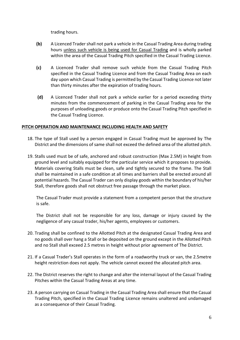trading hours.

- **(b)** A Licenced Trader shall not park a vehicle in the Casual Trading Area during trading hours unless such vehicle is being used for Casual Trading and is wholly parked within the area of the Casual Trading Pitch specified in the Casual Trading Licence.
- **(c)** A Licenced Trader shall remove such vehicle from the Casual Trading Pitch specified in the Casual Trading Licence and from the Casual Trading Area on each day upon which Casual Trading is permitted by the Casual Trading Licence not later than thirty minutes after the expiration of trading hours.
- **(d)** A Licenced Trader shall not park a vehicle earlier for a period exceeding thirty minutes from the commencement of parking in the Casual Trading area for the purposes of unloading goods or produce onto the Casual Trading Pitch specified in the Casual Trading Licence.

#### **PITCH OPERATION AND MAINTENANCE INCLUDING HEALTH AND SAFETY**

- 18. The type of Stall used by a person engaged in Casual Trading must be approved by The District and the dimensions of same shall not exceed the defined area of the allotted pitch.
- 19. Stalls used must be of safe, anchored and robust construction (Max 2.5M) in height from ground level and suitably equipped for the particular service which it proposes to provide. Materials covering Stalls must be clean, safe and tightly secured to the frame. The Stall shall be maintained in a safe condition at all times and barriers shall be erected around all potential hazards. The Casual Trader can only display goods within the boundary of his/her Stall, therefore goods shall not obstruct free passage through the market place.

The Casual Trader must provide a statement from a competent person that the structure is safe.

The District shall not be responsible for any loss, damage or injury caused by the negligence of any casual trader, his/her agents, employees or customers.

- 20. Trading shall be confined to the Allotted Pitch at the designated Casual Trading Area and no goods shall over hang a Stall or be deposited on the ground except in the Allotted Pitch and no Stall shall exceed 2.5 metres in height without prior agreement of The District.
- 21. If a Casual Trader's Stall operates in the form of a roadworthy truck or van, the 2.5metre height restriction does not apply. The vehicle cannot exceed the allocated pitch area.
- 22. The District reserves the right to change and alter the internal layout of the Casual Trading Pitches within the Casual Trading Areas at any time.
- 23. A person carrying on Casual Trading in the Casual Trading Area shall ensure that the Casual Trading Pitch, specified in the Casual Trading Licence remains unaltered and undamaged as a consequence of their Casual Trading.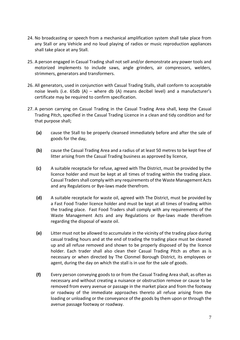- 24. No broadcasting or speech from a mechanical amplification system shall take place from any Stall or any Vehicle and no loud playing of radios or music reproduction appliances shall take place at any Stall.
- 25. A person engaged in Casual Trading shall not sell and/or demonstrate any power tools and motorized implements to include saws, angle grinders, air compressors, welders, strimmers, generators and transformers.
- 26. All generators, used in conjunction with Casual Trading Stalls, shall conform to acceptable noise levels (i.e. 65db (A) – where db (A) means decibel level) and a manufacturer's certificate may be required to confirm specification.
- 27. A person carrying on Casual Trading in the Casual Trading Area shall, keep the Casual Trading Pitch, specified in the Casual Trading Licence in a clean and tidy condition and for that purpose shall;
	- **(a)** cause the Stall to be properly cleansed immediately before and after the sale of goods for the day,
	- **(b)** cause the Casual Trading Area and a radius of at least 50 metres to be kept free of litter arising from the Casual Trading business as approved by licence,
	- **(c)** A suitable receptacle for refuse, agreed with The District, must be provided by the licence holder and must be kept at all times of trading within the trading place. Casual Traders shall comply with any requirements of the Waste Management Acts and any Regulations or Bye-laws made therefrom.
	- **(d)** A suitable receptacle for waste oil, agreed with The District, must be provided by a Fast Food Trader licence holder and must be kept at all times of trading within the trading place. Fast Food Traders shall comply with any requirements of the Waste Management Acts and any Regulations or Bye-laws made therefrom regarding the disposal of waste oil.
	- **(e)** Litter must not be allowed to accumulate in the vicinity of the trading place during casual trading hours and at the end of trading the trading place must be cleaned up and all refuse removed and shown to be properly disposed of by the licence holder. Each trader shall also clean their Casual Trading Pitch as often as is necessary or when directed by The Clonmel Borough District, its employees or agent, during the day on which the stall is in use for the sale of goods.
	- **(f)** Every person conveying goods to or from the Casual Trading Area shall, as often as necessary and without creating a nuisance or obstruction remove or cause to be removed from every avenue or passage in the market place and from the footway or roadway of the immediate approaches thereto all refuse arising from the loading or unloading or the conveyance of the goods by them upon or through the avenue passage footway or roadway.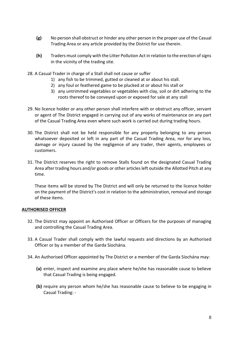- **(g)** No person shall obstruct or hinder any other person in the proper use of the Casual Trading Area or any article provided by the District for use therein.
- **(h)** Traders must comply with the Litter Pollution Act in relation to the erection of signs in the vicinity of the trading site.
- 28. A Casual Trader in charge of a Stall shall not cause or suffer
	- 1) any fish to be trimmed, gutted or cleaned at or about his stall.
	- 2) any foul or feathered game to be plucked at or about his stall or
	- 3) any untrimmed vegetables or vegetables with clay, soil or dirt adhering to the roots thereof to be conveyed upon or exposed for sale at any stall
- 29. No licence holder or any other person shall interfere with or obstruct any officer, servant or agent of The District engaged in carrying out of any works of maintenance on any part of the Casual Trading Area even where such work is carried out during trading hours.
- 30. The District shall not be held responsible for any property belonging to any person whatsoever deposited or left in any part of the Casual Trading Area, nor for any loss, damage or injury caused by the negligence of any trader, their agents, employees or customers.
- 31. The District reserves the right to remove Stalls found on the designated Casual Trading Area after trading hours and/or goods or other articles left outside the Allotted Pitch at any time.

These items will be stored by The District and will only be returned to the licence holder on the payment of the District's cost in relation to the administration, removal and storage of these items.

#### **AUTHORISED OFFICER**

- 32. The District may appoint an Authorised Officer or Officers for the purposes of managing and controlling the Casual Trading Area.
- 33. A Casual Trader shall comply with the lawful requests and directions by an Authorised Officer or by a member of the Garda Síochána.
- 34. An Authorised Officer appointed by The District or a member of the Garda Síochána may:
	- **(a)** enter, inspect and examine any place where he/she has reasonable cause to believe that Casual Trading is being engaged.
	- **(b)** require any person whom he/she has reasonable cause to believe to be engaging in Casual Trading: -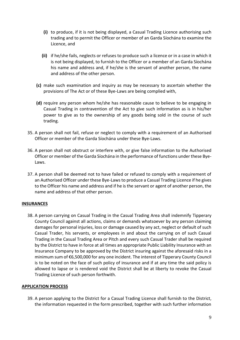- **(i)** to produce, if it is not being displayed, a Casual Trading Licence authorising such trading and to permit the Officer or member of an Garda Síochána to examine the Licence, and
- **(ii)** if he/she fails, neglects or refuses to produce such a licence or in a case in which it is not being displayed, to furnish to the Officer or a member of an Garda Síochána his name and address and, if he/she is the servant of another person, the name and address of the other person.
- **(c)** make such examination and inquiry as may be necessary to ascertain whether the provisions of The Act or of these Bye-Laws are being complied with,
- **(d)** require any person whom he/she has reasonable cause to believe to be engaging in Casual Trading in contravention of the Act to give such information as is in his/her power to give as to the ownership of any goods being sold in the course of such trading.
- 35. A person shall not fail, refuse or neglect to comply with a requirement of an Authorised Officer or member of the Garda Síochána under these Bye-Laws.
- 36. A person shall not obstruct or interfere with, or give false information to the Authorised Officer or member of the Garda Síochána in the performance of functions under these Bye-Laws.
- 37. A person shall be deemed not to have failed or refused to comply with a requirement of an Authorised Officer under these Bye-Laws to produce a Casual Trading Licence if he gives to the Officer his name and address and if he is the servant or agent of another person, the name and address of that other person.

#### **INSURANCES**

38. A person carrying on Casual Trading in the Casual Trading Area shall indemnify Tipperary County Council against all actions, claims or demands whatsoever by any person claiming damages for personal injuries, loss or damage caused by any act, neglect or default of such Casual Trader, his servants, or employees in and about the carrying on of such Casual Trading in the Casual Trading Area or Pitch and every such Casual Trader shall be required by the District to have in force at all times an appropriate Public Liability Insurance with an Insurance Company to be approved by the District insuring against the aforesaid risks in a minimum sum of €6,500,000 for any one incident. The interest of Tipperary County Council is to be noted on the face of such policy of insurance and if at any time the said policy is allowed to lapse or is rendered void the District shall be at liberty to revoke the Casual Trading Licence of such person forthwith.

#### **APPLICATION PROCESS**

39. A person applying to the District for a Casual Trading Licence shall furnish to the District, the information requested in the form prescribed, together with such further information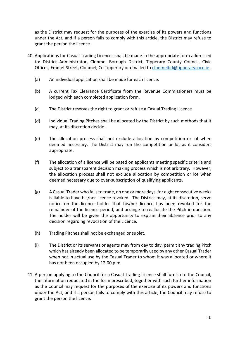as the District may request for the purposes of the exercise of its powers and functions under the Act, and if a person fails to comply with this article, the District may refuse to grant the person the licence.

- 40. Applications for Casual Trading Licences shall be made in the appropriate form addressed to: District Administrator, Clonmel Borough District, Tipperary County Council, Civic Offices, Emmet Street, Clonmel, Co Tipperary or emailed to [clonmelbd@tipperarycoco.ie](mailto:clonmelbd@tipperarycoco.ie).
	- (a) An individual application shall be made for each licence.
	- (b) A current Tax Clearance Certificate from the Revenue Commissioners must be lodged with each completed application form.
	- (c) The District reserves the right to grant or refuse a Casual Trading Licence.
	- (d) Individual Trading Pitches shall be allocated by the District by such methods that it may, at its discretion decide.
	- (e) The allocation process shall not exclude allocation by competition or lot when deemed necessary. The District may run the competition or lot as it considers appropriate.
	- (f) The allocation of a licence will be based on applicants meeting specific criteria and subject to a transparent decision making process which is not arbitrary. However, the allocation process shall not exclude allocation by competition or lot when deemed necessary due to over-subscription of qualifying applicants.
	- (g) A Casual Trader who fails to trade, on one or more days, for eight consecutive weeks is liable to have his/her licence revoked. The District may, at its discretion, serve notice on the licence holder that his/her licence has been revoked for the remainder of the licence period, and arrange to reallocate the Pitch in question. The holder will be given the opportunity to explain their absence prior to any decision regarding revocation of the Licence.
	- (h) Trading Pitches shall not be exchanged or sublet.
	- (i) The District or its servants or agents may from day to day, permit any trading Pitch which has already been allocated to be temporarily used by any other Casual Trader when not in actual use by the Casual Trader to whom it was allocated or where it has not been occupied by 12.00 p.m.
- 41. A person applying to the Council for a Casual Trading Licence shall furnish to the Council, the information requested in the form prescribed, together with such further information as the Council may request for the purposes of the exercise of its powers and functions under the Act, and if a person fails to comply with this article, the Council may refuse to grant the person the licence.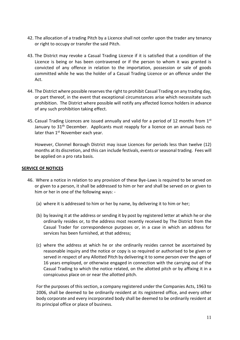- 42. The allocation of a trading Pitch by a Licence shall not confer upon the trader any tenancy or right to occupy or transfer the said Pitch.
- 43. The District may revoke a Casual Trading Licence if it is satisfied that a condition of the Licence is being or has been contravened or if the person to whom it was granted is convicted of any offence in relation to the importation, possession or sale of goods committed while he was the holder of a Casual Trading Licence or an offence under the Act.
- 44. The District where possible reserves the right to prohibit Casual Trading on any trading day, or part thereof, in the event that exceptional circumstances arise which necessitate such prohibition. The District where possible will notify any affected licence holders in advance of any such prohibition taking effect.
- 45. Casual Trading Licences are issued annually and valid for a period of 12 months from  $1^{st}$ January to 31<sup>th</sup> December. Applicants must reapply for a licence on an annual basis no later than 1<sup>st</sup> November each year.

However, Clonmel Borough District may issue Licences for periods less than twelve (12) months at its discretion, and this can include festivals, events or seasonal trading. Fees will be applied on a pro rata basis.

#### **SERVICE OF NOTICES**

- 46. Where a notice in relation to any provision of these Bye-Laws is required to be served on or given to a person, it shall be addressed to him or her and shall be served on or given to him or her in one of the following ways: -
	- (a) where it is addressed to him or her by name, by delivering it to him or her;
	- (b) by leaving it at the address or sending it by post by registered letter at which he or she ordinarily resides or, to the address most recently received by The District from the Casual Trader for correspondence purposes or, in a case in which an address for services has been furnished, at that address;
	- (c) where the address at which he or she ordinarily resides cannot be ascertained by reasonable inquiry and the notice or copy is so required or authorised to be given or served in respect of any Allotted Pitch by delivering it to some person over the ages of 16 years employed, or otherwise engaged in connection with the carrying out of the Casual Trading to which the notice related, on the allotted pitch or by affixing it in a conspicuous place on or near the allotted pitch.

For the purposes of this section, a company registered under the Companies Acts, 1963 to 2006, shall be deemed to be ordinarily resident at its registered office, and every other body corporate and every incorporated body shall be deemed to be ordinarily resident at its principal office or place of business.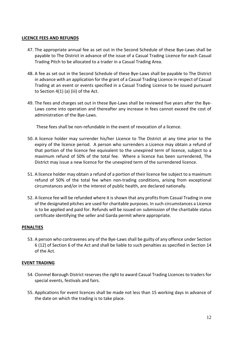#### **LICENCE FEES AND REFUNDS**

- 47. The appropriate annual fee as set out in the Second Schedule of these Bye-Laws shall be payable to The District in advance of the issue of a Casual Trading Licence for each Casual Trading Pitch to be allocated to a trader in a Casual Trading Area.
- 48. A fee as set out in the Second Schedule of these Bye-Laws shall be payable to The District in advance with an application for the grant of a Casual Trading Licence in respect of Casual Trading at an event or events specified in a Casual Trading Licence to be issued pursuant to Section 4(1) (a) (iii) of the Act.
- 49. The fees and charges set out in these Bye-Laws shall be reviewed five years after the Bye-Laws come into operation and thereafter any increase in fees cannot exceed the cost of administration of the Bye-Laws.

These fees shall be non-refundable in the event of revocation of a licence.

- 50. A licence holder may surrender his/her Licence to The District at any time prior to the expiry of the licence period. A person who surrenders a Licence may obtain a refund of that portion of the licence fee equivalent to the unexpired term of licence, subject to a maximum refund of 50% of the total fee. Where a licence has been surrendered, The District may issue a new licence for the unexpired term of the surrendered licence.
- 51. A licence holder may obtain a refund of a portion of their licence fee subject to a maximum refund of 50% of the total fee when non-trading conditions, arising from exceptional circumstances and/or in the interest of public health, are declared nationally.
- 52. A licence fee will be refunded where it is shown that any profits from Casual Trading in one of the designated pitches are used for charitable purposes. In such circumstances a Licence is to be applied and paid for. Refunds will be issued on submission of the charitable status certificate identifying the seller and Garda permit where appropriate.

#### **PENALTIES**

53. A person who contravenes any of the Bye-Laws shall be guilty of any offence under Section 6 (12) of Section 6 of the Act and shall be liable to such penalties as specified in Section 14 of the Act.

#### **EVENT TRADING**

- 54. Clonmel Borough District reserves the right to award Casual Trading Licences to traders for special events, festivals and fairs.
- 55. Applications for event licences shall be made not less than 15 working days in advance of the date on which the trading is to take place.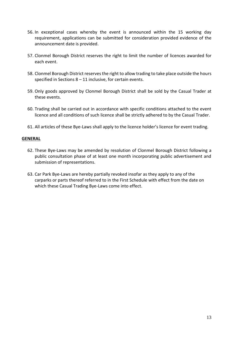- 56. In exceptional cases whereby the event is announced within the 15 working day requirement, applications can be submitted for consideration provided evidence of the announcement date is provided.
- 57. Clonmel Borough District reserves the right to limit the number of licences awarded for each event.
- 58. Clonmel Borough District reserves the right to allow trading to take place outside the hours specified in Sections 8 – 11 inclusive, for certain events.
- 59. Only goods approved by Clonmel Borough District shall be sold by the Casual Trader at these events.
- 60. Trading shall be carried out in accordance with specific conditions attached to the event licence and all conditions of such licence shall be strictly adhered to by the Casual Trader.
- 61. All articles of these Bye-Laws shall apply to the licence holder's licence for event trading.

#### **GENERAL**

- 62. These Bye-Laws may be amended by resolution of Clonmel Borough District following a public consultation phase of at least one month incorporating public advertisement and submission of representations.
- 63. Car Park Bye-Laws are hereby partially revoked insofar as they apply to any of the carparks or parts thereof referred to in the First Schedule with effect from the date on which these Casual Trading Bye-Laws come into effect.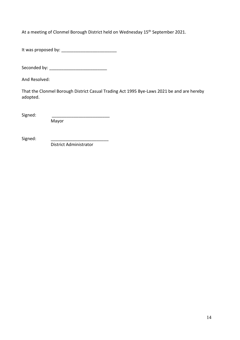At a meeting of Clonmel Borough District held on Wednesday 15<sup>th</sup> September 2021.

It was proposed by: \_\_\_\_\_\_\_\_\_\_\_\_\_\_\_\_\_\_\_\_\_\_\_

Seconded by: \_\_\_\_\_\_\_\_\_\_\_\_\_\_\_\_\_\_\_\_\_\_\_\_

And Resolved:

That the Clonmel Borough District Casual Trading Act 1995 Bye-Laws 2021 be and are hereby adopted.

Signed:

Mayor

Signed:

District Administrator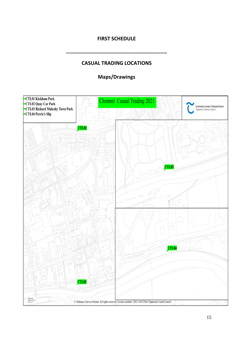# **FIRST SCHEDULE**

**\_\_\_\_\_\_\_\_\_\_\_\_\_\_\_\_\_\_\_\_\_\_\_\_\_\_\_\_\_\_\_\_\_\_\_\_\_\_\_\_\_\_**

# **CASUAL TRADING LOCATIONS**

# **Maps/Drawings**

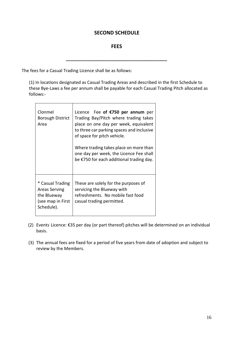## **SECOND SCHEDULE**

**FEES**

**\_\_\_\_\_\_\_\_\_\_\_\_\_\_\_\_\_\_\_\_\_\_\_\_\_\_\_\_\_\_\_\_\_\_\_\_\_\_\_\_\_\_**

The fees for a Casual Trading Licence shall be as follows:

 $\overline{\phantom{a}}$ 

 $\overline{r}$ 

(1) In locations designated as Casual Trading Areas and described in the first Schedule to these Bye-Laws a fee per annum shall be payable for each Casual Trading Pitch allocated as follows:-

 $\overline{\phantom{0}}$ 

| Clonmel<br><b>Borough District</b><br>Area                                                 | Licence Fee of $E$ 750 per annum per<br>Trading Bay/Pitch where trading takes<br>place on one day per week, equivalent<br>to three car parking spaces and inclusive<br>of space for pitch vehicle.<br>Where trading takes place on more than<br>one day per week, the Licence Fee shall<br>be €750 for each additional trading day. |
|--------------------------------------------------------------------------------------------|-------------------------------------------------------------------------------------------------------------------------------------------------------------------------------------------------------------------------------------------------------------------------------------------------------------------------------------|
| * Casual Trading<br><b>Areas Serving</b><br>the Blueway<br>(see map in First<br>Schedule). | These are solely for the purposes of<br>servicing the Blueway with<br>refreshments. No mobile fast food<br>casual trading permitted.                                                                                                                                                                                                |

- (2) Events Licence: €35 per day (or part thereof) pitches will be determined on an individual basis.
- (3) The annual fees are fixed for a period of five years from date of adoption and subject to review by the Members.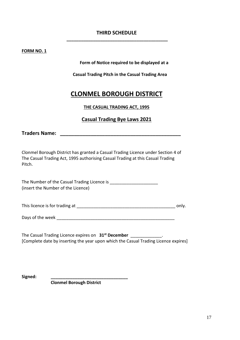# **THIRD SCHEDULE \_\_\_\_\_\_\_\_\_\_\_\_\_\_\_\_\_\_\_\_\_\_\_\_\_\_\_\_\_\_\_\_\_\_\_\_\_\_\_\_\_\_**

#### **FORM NO. 1**

**Form of Notice required to be displayed at a**

**Casual Trading Pitch in the Casual Trading Area**

# **CLONMEL BOROUGH DISTRICT**

#### **THE CASUAL TRADING ACT, 1995**

# **Casual Trading Bye Laws 2021**

**Traders Name: \_\_\_\_\_\_\_\_\_\_\_\_\_\_\_\_\_\_\_\_\_\_\_\_\_\_\_\_\_\_\_\_\_\_\_\_\_\_\_\_\_\_\_**

Clonmel Borough District has granted a Casual Trading Licence under Section 4 of The Casual Trading Act, 1995 authorising Casual Trading at this Casual Trading Pitch.

The Number of the Casual Trading Licence is \_\_\_\_\_\_\_\_\_\_\_\_\_\_\_\_\_\_\_\_ (insert the Number of the Licence)

This licence is for trading at \_\_\_\_\_\_\_\_\_\_\_\_\_\_\_\_\_\_\_\_\_\_\_\_\_\_\_\_\_\_\_\_\_\_\_\_\_\_\_\_\_ only.

Days of the week **with an allowing the week** and the set of the week and the set of the set of the set of the set of the set of the set of the set of the set of the set of the set of the set of the set of the set of the se

The Casual Trading Licence expires on **31<sup>st</sup> December** \_\_\_\_\_\_\_\_\_\_\_\_\_\_. [Complete date by inserting the year upon which the Casual Trading Licence expires]

**Signed: \_\_\_\_\_\_\_\_\_\_\_\_\_\_\_\_\_\_\_\_\_\_\_\_\_\_\_\_\_\_\_\_**

**Clonmel Borough District**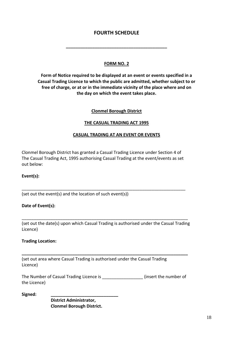# **FOURTH SCHEDULE**

**\_\_\_\_\_\_\_\_\_\_\_\_\_\_\_\_\_\_\_\_\_\_\_\_\_\_\_\_\_\_\_\_\_\_\_\_\_\_\_\_\_\_**

#### **FORM NO. 2**

**Form of Notice required to be displayed at an event or events specified in a Casual Trading Licence to which the public are admitted, whether subject to or free of charge, or at or in the immediate vicinity of the place where and on the day on which the event takes place.**

#### **Clonmel Borough District**

#### **THE CASUAL TRADING ACT 1995**

#### **CASUAL TRADING AT AN EVENT OR EVENTS**

Clonmel Borough District has granted a Casual Trading Licence under Section 4 of The Casual Trading Act, 1995 authorising Casual Trading at the event/events as set out below:

\_\_\_\_\_\_\_\_\_\_\_\_\_\_\_\_\_\_\_\_\_\_\_\_\_\_\_\_\_\_\_\_\_\_\_\_\_\_\_\_\_\_\_\_\_\_\_\_\_\_\_\_\_\_\_\_\_\_\_\_\_\_\_\_\_\_\_\_

#### **Event(s):**

(set out the event(s) and the location of such event(s))

#### **Date of Event(s):**

(set out the date(s) upon which Casual Trading is authorised under the Casual Trading Licence)

\_\_\_\_\_\_\_\_\_\_\_\_\_\_\_\_\_\_\_\_\_\_\_\_\_\_\_\_\_\_\_\_\_\_\_\_\_\_\_\_\_\_\_\_\_\_\_\_\_\_\_\_\_\_\_\_\_\_\_\_\_\_\_\_\_\_\_\_\_

#### **Trading Location:**

**\_\_\_\_\_\_\_\_\_\_\_\_\_\_\_\_\_\_\_\_\_\_\_\_\_\_\_\_\_\_\_\_\_\_\_\_\_\_\_\_\_\_\_\_\_\_\_\_\_\_\_\_\_\_\_\_\_\_\_\_\_\_\_\_\_\_\_\_\_** (set out area where Casual Trading is authorised under the Casual Trading Licence)

The Number of Casual Trading Licence is \_\_\_\_\_\_\_\_\_\_\_\_\_\_\_\_\_ (insert the number of the Licence)

 $Signed:$ 

**District Administrator, Clonmel Borough District.**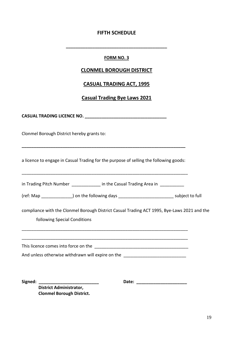# **FIFTH SCHEDULE**

#### **FORM NO. 3**

**\_\_\_\_\_\_\_\_\_\_\_\_\_\_\_\_\_\_\_\_\_\_\_\_\_\_\_\_\_\_\_\_\_\_\_\_\_\_\_\_\_\_**

#### **CLONMEL BOROUGH DISTRICT**

#### **CASUAL TRADING ACT, 1995**

#### **Casual Trading Bye Laws 2021**

**CASUAL TRADING LICENCE NO. \_\_\_\_\_\_\_\_\_\_\_\_\_\_\_\_\_\_\_\_\_\_\_\_\_\_\_\_\_\_\_\_\_\_**

Clonmel Borough District hereby grants to:

a licence to engage in Casual Trading for the purpose of selling the following goods:

\_\_\_\_\_\_\_\_\_\_\_\_\_\_\_\_\_\_\_\_\_\_\_\_\_\_\_\_\_\_\_\_\_\_\_\_\_\_\_\_\_\_\_\_\_\_\_\_\_\_\_\_\_\_\_\_\_\_\_\_\_\_\_\_\_\_\_\_\_

**\_\_\_\_\_\_\_\_\_\_\_\_\_\_\_\_\_\_\_\_\_\_\_\_\_\_\_\_\_\_\_\_\_\_\_\_\_\_\_\_\_\_\_\_\_\_\_\_\_\_\_\_\_\_\_\_\_\_\_\_\_\_\_\_\_\_\_\_**

in Trading Pitch Number **and Trading Area in Line Casual Trading Area in** \_\_\_\_\_\_\_\_\_

(ref: Map \_\_\_\_\_\_\_\_\_\_\_\_\_) on the following days \_\_\_\_\_\_\_\_\_\_\_\_\_\_\_\_\_\_\_\_\_\_\_ subject to full

compliance with the Clonmel Borough District Casual Trading ACT 1995, Bye-Laws 2021 and the following Special Conditions

\_\_\_\_\_\_\_\_\_\_\_\_\_\_\_\_\_\_\_\_\_\_\_\_\_\_\_\_\_\_\_\_\_\_\_\_\_\_\_\_\_\_\_\_\_\_\_\_\_\_\_\_\_\_\_\_\_\_\_\_\_\_\_\_\_\_\_\_\_ This licence comes into force on the \_\_\_\_\_\_\_\_\_\_\_\_\_\_\_\_\_\_\_\_\_\_\_\_\_\_\_\_\_\_\_\_\_\_\_\_\_\_\_ And unless otherwise withdrawn will expire on the

\_\_\_\_\_\_\_\_\_\_\_\_\_\_\_\_\_\_\_\_\_\_\_\_\_\_\_\_\_\_\_\_\_\_\_\_\_\_\_\_\_\_\_\_\_\_\_\_\_\_\_\_\_\_\_\_\_\_\_\_\_\_\_\_\_\_\_\_\_

**Signed: Date: Date: CONSIDENTIFY ASSAULT AND ALL AND ALL AND ALL AND ALL AND ALL AND ALL AND ALL AND ALL AND ALL AND ALL AND ALL AND ALL AND ALL AND ALL AND ALL AND ALL AND ALL AND ALL AND ALL AND ALL AND ALL AND AL** 

 **District Administrator, Clonmel Borough District.**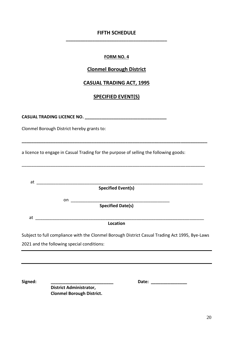# **FIFTH SCHEDULE \_\_\_\_\_\_\_\_\_\_\_\_\_\_\_\_\_\_\_\_\_\_\_\_\_\_\_\_\_\_\_\_\_\_\_\_\_\_\_\_\_\_**

# **FORM NO. 4**

# **Clonmel Borough District**

# **CASUAL TRADING ACT, 1995**

# **SPECIFIED EVENT(S)**

**\_\_\_\_\_\_\_\_\_\_\_\_\_\_\_\_\_\_\_\_\_\_\_\_\_\_\_\_\_\_\_\_\_\_\_\_\_\_\_\_\_\_\_\_\_\_\_\_\_\_\_\_\_\_\_\_\_\_\_\_\_\_\_\_\_\_\_\_\_\_\_\_\_\_\_\_\_**

\_\_\_\_\_\_\_\_\_\_\_\_\_\_\_\_\_\_\_\_\_\_\_\_\_\_\_\_\_\_\_\_\_\_\_\_\_\_\_\_\_\_\_\_\_\_\_\_\_\_\_\_\_\_\_\_\_\_\_\_\_\_\_\_\_\_\_\_\_\_\_\_\_\_\_\_

**CASUAL TRADING LICENCE NO. \_\_\_\_\_\_\_\_\_\_\_\_\_\_\_\_\_\_\_\_\_\_\_\_\_\_\_\_\_\_\_\_\_\_**

Clonmel Borough District hereby grants to:

a licence to engage in Casual Trading for the purpose of selling the following goods:

| at                       |                                                                                                |
|--------------------------|------------------------------------------------------------------------------------------------|
|                          | <b>Specified Event(s)</b>                                                                      |
|                          |                                                                                                |
| <b>Specified Date(s)</b> |                                                                                                |
| at                       |                                                                                                |
|                          | Location                                                                                       |
|                          | Subject to full compliance with the Clonmel Borough District Casual Trading Act 1995, Bye-Laws |
|                          | 2021 and the following special conditions:                                                     |
|                          |                                                                                                |
|                          |                                                                                                |
|                          |                                                                                                |
| Signed:                  | Date:                                                                                          |

**District Administrator, Clonmel Borough District.**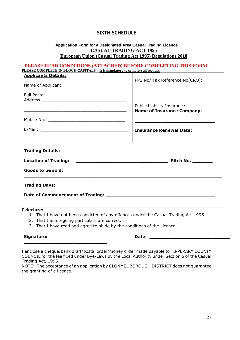## **SIXTH SCHEDULE**

#### **Application Form for a Designated Area Casual Trading Licence CASUAL TRADING ACT 1995 European Union (Casual Trading Act 1995) Regulations 2018**

#### **PLEASE READ CONDITIONS (ATTACHED) BEFORE COMPLETING THIS FORM. PLEASE COMPLETE IN BLOCK CAPITALS – It is mandatory to complete all sections**

| <b>Applicants Details:</b><br><b>Full Postal</b>                            | PPS No/ Tax Reference No(CRO):<br>Public Liability Insurance:<br><b>Name of Insurance Company:</b> |
|-----------------------------------------------------------------------------|----------------------------------------------------------------------------------------------------|
|                                                                             | Insurance Renewal Date:                                                                            |
| <b>Trading Details:</b><br><b>Location of Trading:</b><br>Goods to be sold: |                                                                                                    |
|                                                                             |                                                                                                    |

**I declare:-**

- 1. That I have not been convicted of any offences under the Casual Trading Act 1995.
- 2. That the foregoing particulars are correct.

**\_\_\_\_\_\_\_\_\_\_\_\_\_\_\_\_\_\_\_\_\_\_\_\_\_\_\_\_\_** 

3. That I have read and agree to abide by the conditions of the Licence

#### **Signature:**

**Date: \_\_\_\_\_\_\_\_\_\_\_\_\_\_\_\_\_\_\_\_\_\_\_\_\_\_\_\_**

I enclose a cheque/bank draft/postal order/money order made payable to TIPPERARY COUNTY COUNCIL for the fee fixed under Bye-Laws by the Local Authority under Section 6 of the Casual Trading Act, 1995.

NOTE: The acceptance of an application by CLONMEL BOROUGH DISTRICT does not guarantee the granting of a licence.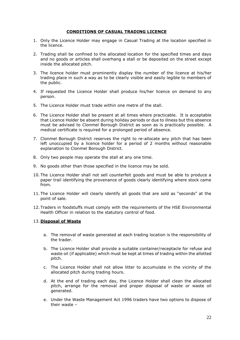#### **CONDITIONS OF CASUAL TRADING LICENCE**

- 1. Only the Licence Holder may engage in Casual Trading at the location specified in the licence.
- 2. Trading shall be confined to the allocated location for the specified times and days and no goods or articles shall overhang a stall or be deposited on the street except inside the allocated pitch.
- 3. The licence holder must prominently display the number of the licence at his/her trading place in such a way as to be clearly visible and easily legible to members of the public.
- 4. If requested the Licence Holder shall produce his/her licence on demand to any person.
- 5. The Licence Holder must trade within one metre of the stall.
- 6. The Licence Holder shall be present at all times where practicable. It is acceptable that Licence Holder be absent during holiday periods or due to illness but this absence must be advised to Clonmel Borough District as soon as is practically possible. A medical certificate is required for a prolonged period of absence.
- 7. Clonmel Borough District reserves the right to re-allocate any pitch that has been left unoccupied by a licence holder for a period of 2 months without reasonable explanation to Clonmel Borough District.
- 8. Only two people may operate the stall at any one time.
- 9. No goods other than those specified in the licence may be sold.
- 10.The Licence Holder shall not sell counterfeit goods and must be able to produce a paper trail identifying the provenance of goods clearly identifying where stock came from.
- 11. The Licence Holder will clearly identify all goods that are sold as "seconds" at the point of sale.
- 12. Traders in foodstuffs must comply with the requirements of the HSE Environmental Health Officer in relation to the statutory control of food.

#### 13. **Disposal of Waste**

- a. The removal of waste generated at each trading location is the responsibility of the trader.
- b. The Licence Holder shall provide a suitable container/receptacle for refuse and waste oil (if applicable) which must be kept at times of trading within the allotted pitch.
- c. The Licence Holder shall not allow litter to accumulate in the vicinity of the allocated pitch during trading hours.
- d. At the end of trading each day, the Licence Holder shall clean the allocated pitch, arrange for the removal and proper disposal of waste or waste oil generated.
- e. Under the Waste Management Act 1996 traders have two options to dispose of their waste –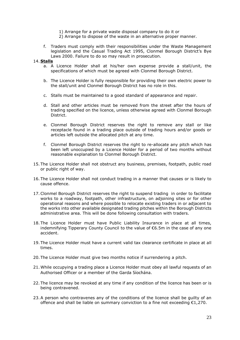- 1) Arrange for a private waste disposal company to do it or
- 2) Arrange to dispose of the waste in an alternative proper manner.
- f. Traders must comply with their responsibilities under the Waste Management legislation and the Casual Trading Act 1995, Clonmel Borough District's Bye Laws 2000. Failure to do so may result in prosecution.

#### 14. **Stalls**

- a. A Licence Holder shall at his/her own expense provide a stall/unit, the specifications of which must be agreed with Clonmel Borough District.
- b. The Licence Holder is fully responsible for providing their own electric power to the stall/unit and Clonmel Borough District has no role in this.
- c. Stalls must be maintained to a good standard of appearance and repair.
- d. Stall and other articles must be removed from the street after the hours of trading specified on the licence, unless otherwise agreed with Clonmel Borough District.
- e. Clonmel Borough District reserves the right to remove any stall or like receptacle found in a trading place outside of trading hours and/or goods or articles left outside the allocated pitch at any time.
- f. Clonmel Borough District reserves the right to re-allocate any pitch which has been left unoccupied by a Licence Holder for a period of two months without reasonable explanation to Clonmel Borough District.
- 15. The Licence Holder shall not obstruct any business, premises, footpath, public road or public right of way.
- 16. The Licence Holder shall not conduct trading in a manner that causes or is likely to cause offence.
- 17.Clonmel Borough District reserves the right to suspend trading in order to facilitate works to a roadway, footpath, other infrastructure, on adjoining sites or for other operational reasons and where possible to relocate existing traders in or adjacent to the works into other available designated trading pitches within the Borough Districts administrative area. This will be done following consultation with traders.
- 18. The Licence Holder must have Public Liability Insurance in place at all times, indemnifying Tipperary County Council to the value of €6.5m in the case of any one accident.
- 19. The Licence Holder must have a current valid tax clearance certificate in place at all times.
- 20. The Licence Holder must give two months notice if surrendering a pitch.
- 21. While occupying a trading place a Licence Holder must obey all lawful requests of an Authorised Officer or a member of the Garda Síochána.
- 22. The licence may be revoked at any time if any condition of the licence has been or is being contravened.
- 23.A person who contravenes any of the conditions of the licence shall be guilty of an offence and shall be liable on summary conviction to a fine not exceeding €1,270.